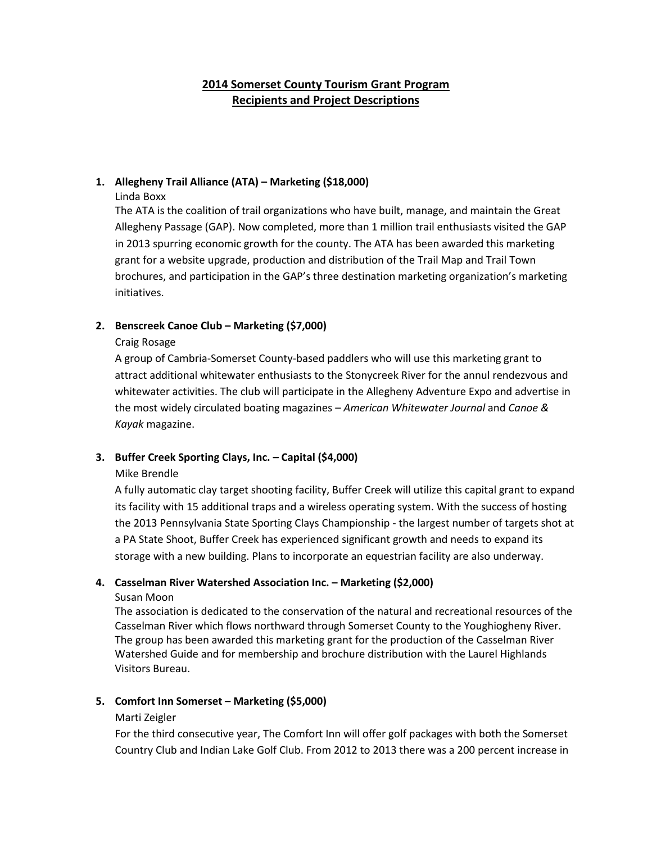# **2014 Somerset County Tourism Grant Program Recipients and Project Descriptions**

# **1. Allegheny Trail Alliance (ATA) – Marketing (\$18,000)**

Linda Boxx

The ATA is the coalition of trail organizations who have built, manage, and maintain the Great Allegheny Passage (GAP). Now completed, more than 1 million trail enthusiasts visited the GAP in 2013 spurring economic growth for the county. The ATA has been awarded this marketing grant for a website upgrade, production and distribution of the Trail Map and Trail Town brochures, and participation in the GAP's three destination marketing organization's marketing initiatives.

# **2. Benscreek Canoe Club – Marketing (\$7,000)**

# Craig Rosage

A group of Cambria-Somerset County-based paddlers who will use this marketing grant to attract additional whitewater enthusiasts to the Stonycreek River for the annul rendezvous and whitewater activities. The club will participate in the Allegheny Adventure Expo and advertise in the most widely circulated boating magazines – *American Whitewater Journal* and *Canoe & Kayak* magazine.

# **3. Buffer Creek Sporting Clays, Inc. – Capital (\$4,000)**

# Mike Brendle

A fully automatic clay target shooting facility, Buffer Creek will utilize this capital grant to expand its facility with 15 additional traps and a wireless operating system. With the success of hosting the 2013 Pennsylvania State Sporting Clays Championship - the largest number of targets shot at a PA State Shoot, Buffer Creek has experienced significant growth and needs to expand its storage with a new building. Plans to incorporate an equestrian facility are also underway.

# **4. Casselman River Watershed Association Inc. – Marketing (\$2,000)**

# Susan Moon

The association is dedicated to the conservation of the natural and recreational resources of the Casselman River which flows northward through Somerset County to the Youghiogheny River. The group has been awarded this marketing grant for the production of the Casselman River Watershed Guide and for membership and brochure distribution with the Laurel Highlands Visitors Bureau.

# **5. Comfort Inn Somerset – Marketing (\$5,000)**

# Marti Zeigler

For the third consecutive year, The Comfort Inn will offer golf packages with both the Somerset Country Club and Indian Lake Golf Club. From 2012 to 2013 there was a 200 percent increase in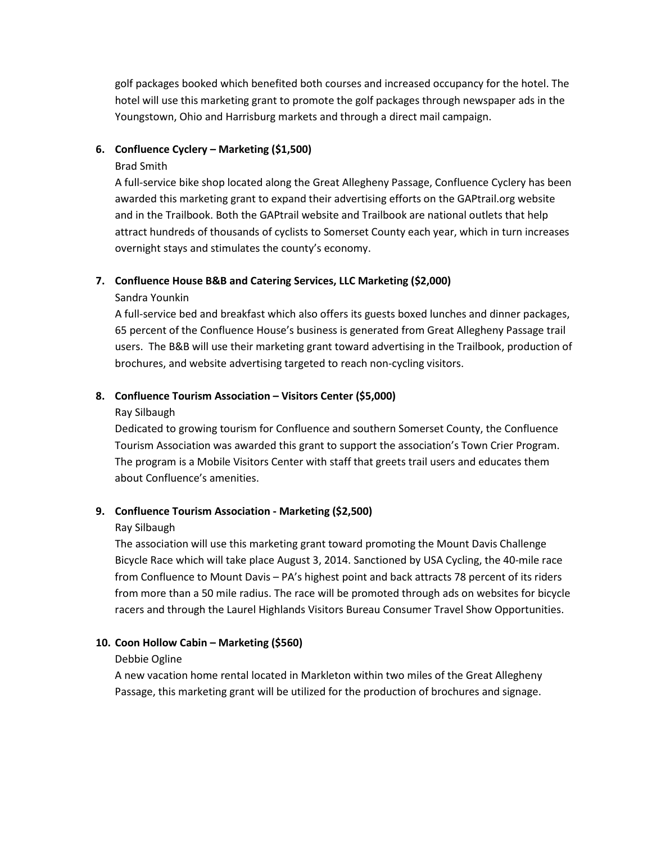golf packages booked which benefited both courses and increased occupancy for the hotel. The hotel will use this marketing grant to promote the golf packages through newspaper ads in the Youngstown, Ohio and Harrisburg markets and through a direct mail campaign.

# **6. Confluence Cyclery – Marketing (\$1,500)**

### Brad Smith

A full-service bike shop located along the Great Allegheny Passage, Confluence Cyclery has been awarded this marketing grant to expand their advertising efforts on the GAPtrail.org website and in the Trailbook. Both the GAPtrail website and Trailbook are national outlets that help attract hundreds of thousands of cyclists to Somerset County each year, which in turn increases overnight stays and stimulates the county's economy.

# **7. Confluence House B&B and Catering Services, LLC Marketing (\$2,000)**

# Sandra Younkin

A full-service bed and breakfast which also offers its guests boxed lunches and dinner packages, 65 percent of the Confluence House's business is generated from Great Allegheny Passage trail users. The B&B will use their marketing grant toward advertising in the Trailbook, production of brochures, and website advertising targeted to reach non-cycling visitors.

# **8. Confluence Tourism Association – Visitors Center (\$5,000)**

### Ray Silbaugh

Dedicated to growing tourism for Confluence and southern Somerset County, the Confluence Tourism Association was awarded this grant to support the association's Town Crier Program. The program is a Mobile Visitors Center with staff that greets trail users and educates them about Confluence's amenities.

# **9. Confluence Tourism Association - Marketing (\$2,500)**

# Ray Silbaugh

The association will use this marketing grant toward promoting the Mount Davis Challenge Bicycle Race which will take place August 3, 2014. Sanctioned by USA Cycling, the 40-mile race from Confluence to Mount Davis – PA's highest point and back attracts 78 percent of its riders from more than a 50 mile radius. The race will be promoted through ads on websites for bicycle racers and through the Laurel Highlands Visitors Bureau Consumer Travel Show Opportunities.

# **10. Coon Hollow Cabin – Marketing (\$560)**

# Debbie Ogline

A new vacation home rental located in Markleton within two miles of the Great Allegheny Passage, this marketing grant will be utilized for the production of brochures and signage.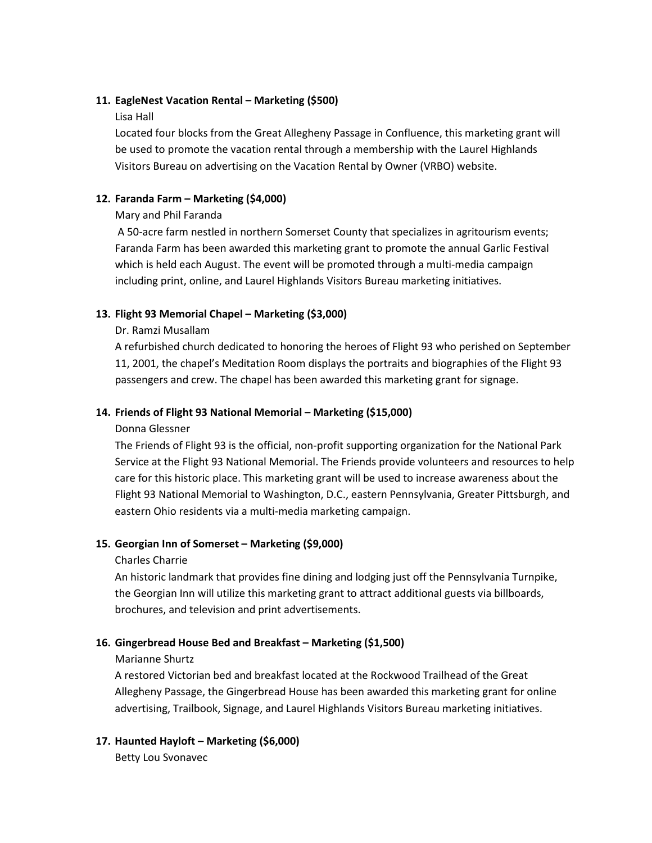# **11. EagleNest Vacation Rental – Marketing (\$500)**

# Lisa Hall

Located four blocks from the Great Allegheny Passage in Confluence, this marketing grant will be used to promote the vacation rental through a membership with the Laurel Highlands Visitors Bureau on advertising on the Vacation Rental by Owner (VRBO) website.

# **12. Faranda Farm – Marketing (\$4,000)**

# Mary and Phil Faranda

A 50-acre farm nestled in northern Somerset County that specializes in agritourism events; Faranda Farm has been awarded this marketing grant to promote the annual Garlic Festival which is held each August. The event will be promoted through a multi-media campaign including print, online, and Laurel Highlands Visitors Bureau marketing initiatives.

# **13. Flight 93 Memorial Chapel – Marketing (\$3,000)**

# Dr. Ramzi Musallam

A refurbished church dedicated to honoring the heroes of Flight 93 who perished on September 11, 2001, the chapel's Meditation Room displays the portraits and biographies of the Flight 93 passengers and crew. The chapel has been awarded this marketing grant for signage.

# **14. Friends of Flight 93 National Memorial – Marketing (\$15,000)**

# Donna Glessner

The Friends of Flight 93 is the official, non-profit supporting organization for the National Park Service at the Flight 93 National Memorial. The Friends provide volunteers and resources to help care for this historic place. This marketing grant will be used to increase awareness about the Flight 93 National Memorial to Washington, D.C., eastern Pennsylvania, Greater Pittsburgh, and eastern Ohio residents via a multi-media marketing campaign.

# **15. Georgian Inn of Somerset – Marketing (\$9,000)**

# Charles Charrie

An historic landmark that provides fine dining and lodging just off the Pennsylvania Turnpike, the Georgian Inn will utilize this marketing grant to attract additional guests via billboards, brochures, and television and print advertisements.

# **16. Gingerbread House Bed and Breakfast – Marketing (\$1,500)**

# Marianne Shurtz

A restored Victorian bed and breakfast located at the Rockwood Trailhead of the Great Allegheny Passage, the Gingerbread House has been awarded this marketing grant for online advertising, Trailbook, Signage, and Laurel Highlands Visitors Bureau marketing initiatives.

# **17. Haunted Hayloft – Marketing (\$6,000)**

Betty Lou Svonavec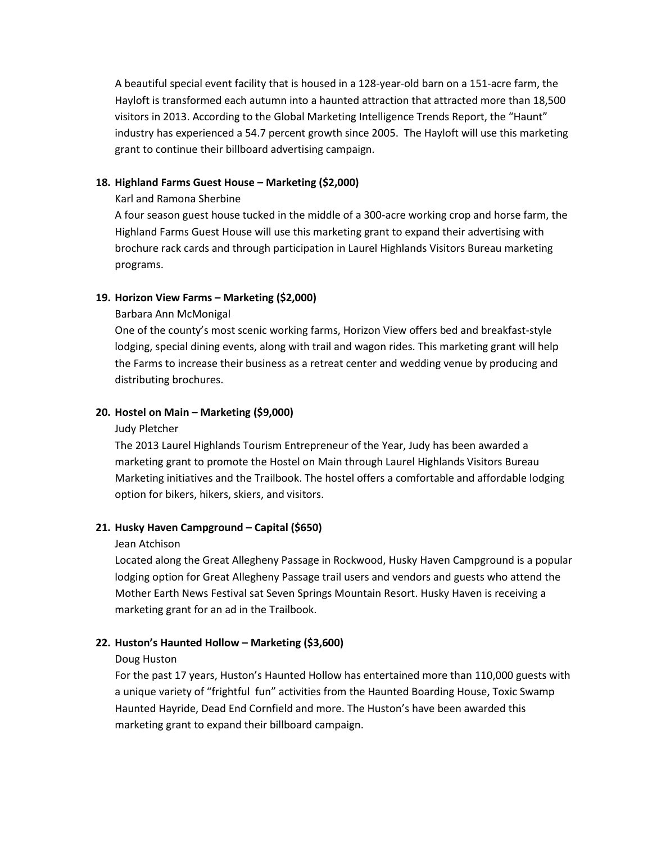A beautiful special event facility that is housed in a 128-year-old barn on a 151-acre farm, the Hayloft is transformed each autumn into a haunted attraction that attracted more than 18,500 visitors in 2013. According to the Global Marketing Intelligence Trends Report, the "Haunt" industry has experienced a 54.7 percent growth since 2005. The Hayloft will use this marketing grant to continue their billboard advertising campaign.

# **18. Highland Farms Guest House – Marketing (\$2,000)**

### Karl and Ramona Sherbine

A four season guest house tucked in the middle of a 300-acre working crop and horse farm, the Highland Farms Guest House will use this marketing grant to expand their advertising with brochure rack cards and through participation in Laurel Highlands Visitors Bureau marketing programs.

# **19. Horizon View Farms – Marketing (\$2,000)**

### Barbara Ann McMonigal

One of the county's most scenic working farms, Horizon View offers bed and breakfast-style lodging, special dining events, along with trail and wagon rides. This marketing grant will help the Farms to increase their business as a retreat center and wedding venue by producing and distributing brochures.

### **20. Hostel on Main – Marketing (\$9,000)**

#### Judy Pletcher

The 2013 Laurel Highlands Tourism Entrepreneur of the Year, Judy has been awarded a marketing grant to promote the Hostel on Main through Laurel Highlands Visitors Bureau Marketing initiatives and the Trailbook. The hostel offers a comfortable and affordable lodging option for bikers, hikers, skiers, and visitors.

# **21. Husky Haven Campground – Capital (\$650)**

#### Jean Atchison

Located along the Great Allegheny Passage in Rockwood, Husky Haven Campground is a popular lodging option for Great Allegheny Passage trail users and vendors and guests who attend the Mother Earth News Festival sat Seven Springs Mountain Resort. Husky Haven is receiving a marketing grant for an ad in the Trailbook.

# **22. Huston's Haunted Hollow – Marketing (\$3,600)**

#### Doug Huston

For the past 17 years, Huston's Haunted Hollow has entertained more than 110,000 guests with a unique variety of "frightful fun" activities from the Haunted Boarding House, Toxic Swamp Haunted Hayride, Dead End Cornfield and more. The Huston's have been awarded this marketing grant to expand their billboard campaign.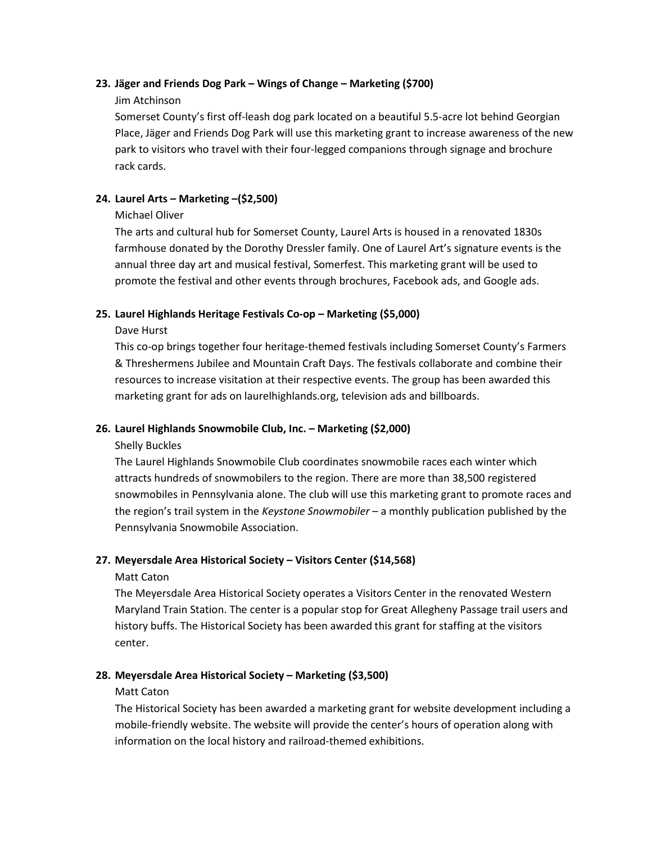# **23. Jäger and Friends Dog Park – Wings of Change – Marketing (\$700)**

# Jim Atchinson

Somerset County's first off-leash dog park located on a beautiful 5.5-acre lot behind Georgian Place, Jäger and Friends Dog Park will use this marketing grant to increase awareness of the new park to visitors who travel with their four-legged companions through signage and brochure rack cards.

# **24. Laurel Arts – Marketing –(\$2,500)**

# Michael Oliver

The arts and cultural hub for Somerset County, Laurel Arts is housed in a renovated 1830s farmhouse donated by the Dorothy Dressler family. One of Laurel Art's signature events is the annual three day art and musical festival, Somerfest. This marketing grant will be used to promote the festival and other events through brochures, Facebook ads, and Google ads.

# **25. Laurel Highlands Heritage Festivals Co-op – Marketing (\$5,000)**

# Dave Hurst

This co-op brings together four heritage-themed festivals including Somerset County's Farmers & Threshermens Jubilee and Mountain Craft Days. The festivals collaborate and combine their resources to increase visitation at their respective events. The group has been awarded this marketing grant for ads on laurelhighlands.org, television ads and billboards.

# **26. Laurel Highlands Snowmobile Club, Inc. – Marketing (\$2,000)**

# Shelly Buckles

The Laurel Highlands Snowmobile Club coordinates snowmobile races each winter which attracts hundreds of snowmobilers to the region. There are more than 38,500 registered snowmobiles in Pennsylvania alone. The club will use this marketing grant to promote races and the region's trail system in the *Keystone Snowmobiler* – a monthly publication published by the Pennsylvania Snowmobile Association.

# **27. Meyersdale Area Historical Society – Visitors Center (\$14,568)**

# Matt Caton

The Meyersdale Area Historical Society operates a Visitors Center in the renovated Western Maryland Train Station. The center is a popular stop for Great Allegheny Passage trail users and history buffs. The Historical Society has been awarded this grant for staffing at the visitors center.

# **28. Meyersdale Area Historical Society – Marketing (\$3,500)**

# Matt Caton

The Historical Society has been awarded a marketing grant for website development including a mobile-friendly website. The website will provide the center's hours of operation along with information on the local history and railroad-themed exhibitions.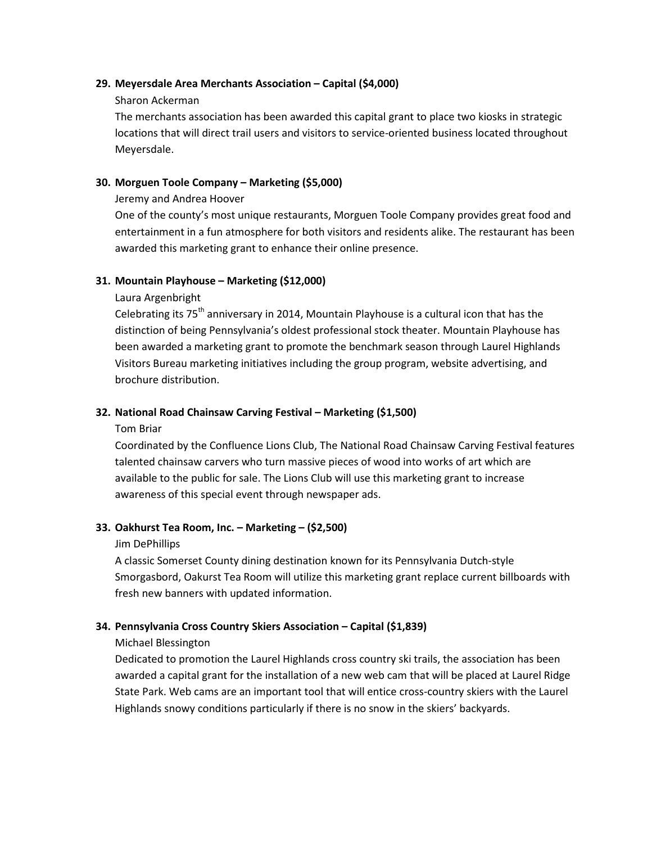### **29. Meyersdale Area Merchants Association – Capital (\$4,000)**

### Sharon Ackerman

The merchants association has been awarded this capital grant to place two kiosks in strategic locations that will direct trail users and visitors to service-oriented business located throughout Meyersdale.

# **30. Morguen Toole Company – Marketing (\$5,000)**

### Jeremy and Andrea Hoover

One of the county's most unique restaurants, Morguen Toole Company provides great food and entertainment in a fun atmosphere for both visitors and residents alike. The restaurant has been awarded this marketing grant to enhance their online presence.

# **31. Mountain Playhouse – Marketing (\$12,000)**

### Laura Argenbright

Celebrating its  $75<sup>th</sup>$  anniversary in 2014, Mountain Playhouse is a cultural icon that has the distinction of being Pennsylvania's oldest professional stock theater. Mountain Playhouse has been awarded a marketing grant to promote the benchmark season through Laurel Highlands Visitors Bureau marketing initiatives including the group program, website advertising, and brochure distribution.

### **32. National Road Chainsaw Carving Festival – Marketing (\$1,500)**

#### Tom Briar

Coordinated by the Confluence Lions Club, The National Road Chainsaw Carving Festival features talented chainsaw carvers who turn massive pieces of wood into works of art which are available to the public for sale. The Lions Club will use this marketing grant to increase awareness of this special event through newspaper ads.

# **33. Oakhurst Tea Room, Inc. – Marketing – (\$2,500)**

#### Jim DePhillips

A classic Somerset County dining destination known for its Pennsylvania Dutch-style Smorgasbord, Oakurst Tea Room will utilize this marketing grant replace current billboards with fresh new banners with updated information.

# **34. Pennsylvania Cross Country Skiers Association – Capital (\$1,839)**

# Michael Blessington

Dedicated to promotion the Laurel Highlands cross country ski trails, the association has been awarded a capital grant for the installation of a new web cam that will be placed at Laurel Ridge State Park. Web cams are an important tool that will entice cross-country skiers with the Laurel Highlands snowy conditions particularly if there is no snow in the skiers' backyards.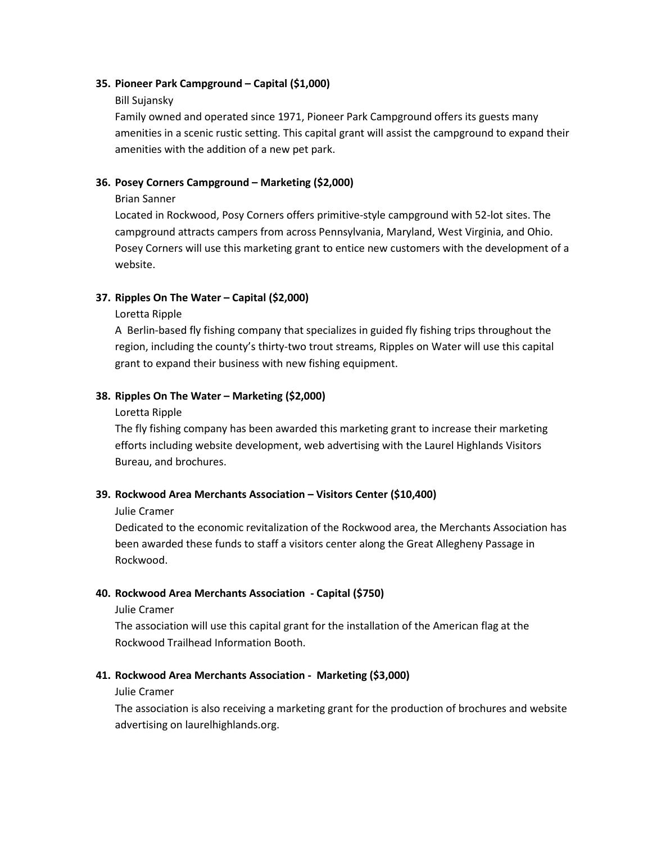### **35. Pioneer Park Campground – Capital (\$1,000)**

#### Bill Sujansky

Family owned and operated since 1971, Pioneer Park Campground offers its guests many amenities in a scenic rustic setting. This capital grant will assist the campground to expand their amenities with the addition of a new pet park.

# **36. Posey Corners Campground – Marketing (\$2,000)**

### Brian Sanner

Located in Rockwood, Posy Corners offers primitive-style campground with 52-lot sites. The campground attracts campers from across Pennsylvania, Maryland, West Virginia, and Ohio. Posey Corners will use this marketing grant to entice new customers with the development of a website.

# **37. Ripples On The Water – Capital (\$2,000)**

Loretta Ripple

A Berlin-based fly fishing company that specializes in guided fly fishing trips throughout the region, including the county's thirty-two trout streams, Ripples on Water will use this capital grant to expand their business with new fishing equipment.

# **38. Ripples On The Water – Marketing (\$2,000)**

#### Loretta Ripple

The fly fishing company has been awarded this marketing grant to increase their marketing efforts including website development, web advertising with the Laurel Highlands Visitors Bureau, and brochures.

# **39. Rockwood Area Merchants Association – Visitors Center (\$10,400)**

#### Julie Cramer

Dedicated to the economic revitalization of the Rockwood area, the Merchants Association has been awarded these funds to staff a visitors center along the Great Allegheny Passage in Rockwood.

# **40. Rockwood Area Merchants Association - Capital (\$750)**

Julie Cramer

The association will use this capital grant for the installation of the American flag at the Rockwood Trailhead Information Booth.

# **41. Rockwood Area Merchants Association - Marketing (\$3,000)**

#### Julie Cramer

The association is also receiving a marketing grant for the production of brochures and website advertising on laurelhighlands.org.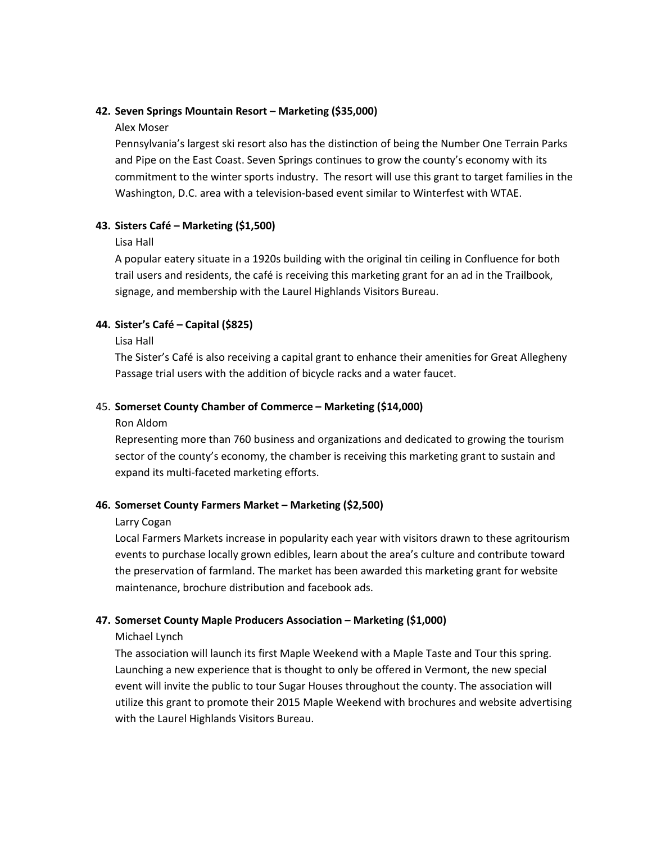### **42. Seven Springs Mountain Resort – Marketing (\$35,000)**

#### Alex Moser

Pennsylvania's largest ski resort also has the distinction of being the Number One Terrain Parks and Pipe on the East Coast. Seven Springs continues to grow the county's economy with its commitment to the winter sports industry. The resort will use this grant to target families in the Washington, D.C. area with a television-based event similar to Winterfest with WTAE.

# **43. Sisters Café – Marketing (\$1,500)**

# Lisa Hall

A popular eatery situate in a 1920s building with the original tin ceiling in Confluence for both trail users and residents, the café is receiving this marketing grant for an ad in the Trailbook, signage, and membership with the Laurel Highlands Visitors Bureau.

# **44. Sister's Café – Capital (\$825)**

### Lisa Hall

The Sister's Café is also receiving a capital grant to enhance their amenities for Great Allegheny Passage trial users with the addition of bicycle racks and a water faucet.

# 45. **Somerset County Chamber of Commerce – Marketing (\$14,000)**

### Ron Aldom

Representing more than 760 business and organizations and dedicated to growing the tourism sector of the county's economy, the chamber is receiving this marketing grant to sustain and expand its multi-faceted marketing efforts.

# **46. Somerset County Farmers Market – Marketing (\$2,500)**

# Larry Cogan

Local Farmers Markets increase in popularity each year with visitors drawn to these agritourism events to purchase locally grown edibles, learn about the area's culture and contribute toward the preservation of farmland. The market has been awarded this marketing grant for website maintenance, brochure distribution and facebook ads.

# **47. Somerset County Maple Producers Association – Marketing (\$1,000)**

# Michael Lynch

The association will launch its first Maple Weekend with a Maple Taste and Tour this spring. Launching a new experience that is thought to only be offered in Vermont, the new special event will invite the public to tour Sugar Houses throughout the county. The association will utilize this grant to promote their 2015 Maple Weekend with brochures and website advertising with the Laurel Highlands Visitors Bureau.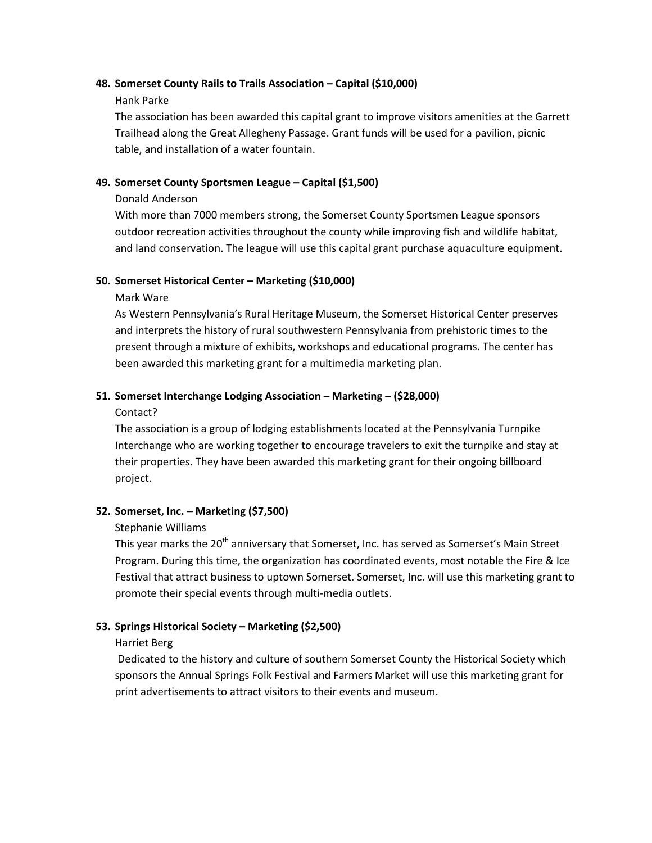#### **48. Somerset County Rails to Trails Association – Capital (\$10,000)**

### Hank Parke

The association has been awarded this capital grant to improve visitors amenities at the Garrett Trailhead along the Great Allegheny Passage. Grant funds will be used for a pavilion, picnic table, and installation of a water fountain.

# **49. Somerset County Sportsmen League – Capital (\$1,500)**

# Donald Anderson

With more than 7000 members strong, the Somerset County Sportsmen League sponsors outdoor recreation activities throughout the county while improving fish and wildlife habitat, and land conservation. The league will use this capital grant purchase aquaculture equipment.

# **50. Somerset Historical Center – Marketing (\$10,000)**

# Mark Ware

As Western Pennsylvania's Rural Heritage Museum, the Somerset Historical Center preserves and interprets the history of rural southwestern Pennsylvania from prehistoric times to the present through a mixture of exhibits, workshops and educational programs. The center has been awarded this marketing grant for a multimedia marketing plan.

# **51. Somerset Interchange Lodging Association – Marketing – (\$28,000)**

# Contact?

The association is a group of lodging establishments located at the Pennsylvania Turnpike Interchange who are working together to encourage travelers to exit the turnpike and stay at their properties. They have been awarded this marketing grant for their ongoing billboard project.

# **52. Somerset, Inc. – Marketing (\$7,500)**

# Stephanie Williams

This year marks the 20<sup>th</sup> anniversary that Somerset, Inc. has served as Somerset's Main Street Program. During this time, the organization has coordinated events, most notable the Fire & Ice Festival that attract business to uptown Somerset. Somerset, Inc. will use this marketing grant to promote their special events through multi-media outlets.

# **53. Springs Historical Society – Marketing (\$2,500)**

# Harriet Berg

Dedicated to the history and culture of southern Somerset County the Historical Society which sponsors the Annual Springs Folk Festival and Farmers Market will use this marketing grant for print advertisements to attract visitors to their events and museum.